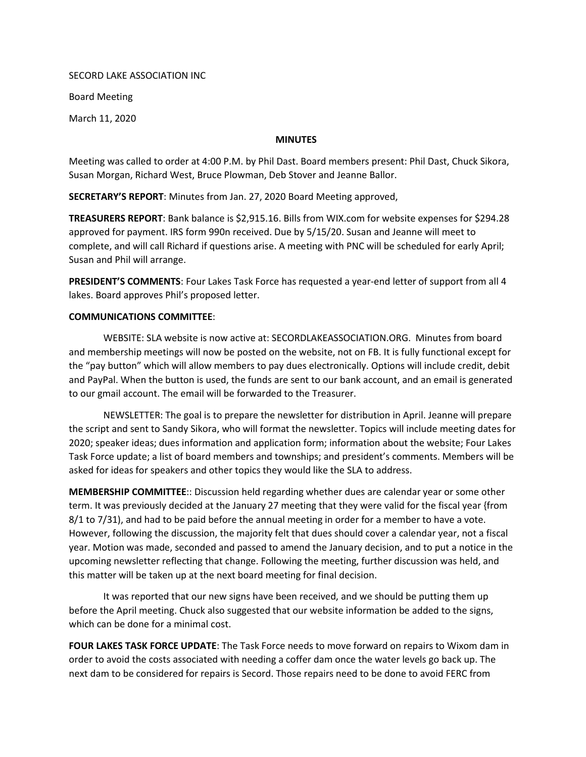SECORD LAKE ASSOCIATION INC

Board Meeting

March 11, 2020

## **MINUTES**

Meeting was called to order at 4:00 P.M. by Phil Dast. Board members present: Phil Dast, Chuck Sikora, Susan Morgan, Richard West, Bruce Plowman, Deb Stover and Jeanne Ballor.

SECRETARY'S REPORT: Minutes from Jan. 27, 2020 Board Meeting approved,

TREASURERS REPORT: Bank balance is \$2,915.16. Bills from WIX.com for website expenses for \$294.28 approved for payment. IRS form 990n received. Due by 5/15/20. Susan and Jeanne will meet to complete, and will call Richard if questions arise. A meeting with PNC will be scheduled for early April; Susan and Phil will arrange.

PRESIDENT'S COMMENTS: Four Lakes Task Force has requested a year-end letter of support from all 4 lakes. Board approves Phil's proposed letter.

## COMMUNICATIONS COMMITTEE:

WEBSITE: SLA website is now active at: SECORDLAKEASSOCIATION.ORG. Minutes from board and membership meetings will now be posted on the website, not on FB. It is fully functional except for the "pay button" which will allow members to pay dues electronically. Options will include credit, debit and PayPal. When the button is used, the funds are sent to our bank account, and an email is generated to our gmail account. The email will be forwarded to the Treasurer.

NEWSLETTER: The goal is to prepare the newsletter for distribution in April. Jeanne will prepare the script and sent to Sandy Sikora, who will format the newsletter. Topics will include meeting dates for 2020; speaker ideas; dues information and application form; information about the website; Four Lakes Task Force update; a list of board members and townships; and president's comments. Members will be asked for ideas for speakers and other topics they would like the SLA to address.

MEMBERSHIP COMMITTEE:: Discussion held regarding whether dues are calendar year or some other term. It was previously decided at the January 27 meeting that they were valid for the fiscal year {from 8/1 to 7/31), and had to be paid before the annual meeting in order for a member to have a vote. However, following the discussion, the majority felt that dues should cover a calendar year, not a fiscal year. Motion was made, seconded and passed to amend the January decision, and to put a notice in the upcoming newsletter reflecting that change. Following the meeting, further discussion was held, and this matter will be taken up at the next board meeting for final decision.

It was reported that our new signs have been received, and we should be putting them up before the April meeting. Chuck also suggested that our website information be added to the signs, which can be done for a minimal cost.

FOUR LAKES TASK FORCE UPDATE: The Task Force needs to move forward on repairs to Wixom dam in order to avoid the costs associated with needing a coffer dam once the water levels go back up. The next dam to be considered for repairs is Secord. Those repairs need to be done to avoid FERC from